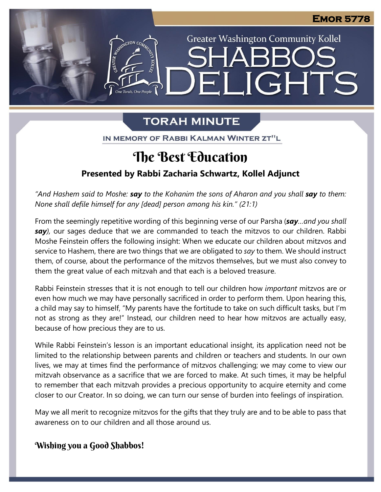**Greater Washington Community Kollel** 

ELIGHTS

# **TORAH MINUTE**

e<br> Torah. One People

IN MEMORY OF RABBI KALMAN WINTER ZT"L

## $\overline{a}$ **The Best Education**

# **Presented by Rabbi Zacharia Schwartz, Kollel Adjunct**

*"And Hashem said to Moshe: say to the Kohanim the sons of Aharon and you shall say to them: None shall defile himself for any [dead] person among his kin." (21:1)*

From the seemingly repetitive wording of this beginning verse of our Parsha (*say…and you shall* From the seemingly repetitive wording of this beginning verse of our Parsha (**say**...*and you shall*<br>**say**), our sages deduce that we are commanded to teach the mitzvos to our children. Rabbi Moshe Feinstein offers the following insight: When we educate our children about mitzvos and Moshe Feinstein offers the following insight: When we educate our children about mitzvos and<br>service to Hashem, there are two things that we are obligated to *say* to them. We should instruct them, of course, about the performance of the mitzvos themselves, but we must also convey to them the great value of each mitzvah and that each is a beloved treasure.

Rabbi Feinstein stresses that it is not enough to tell our children how *important* mitzvos are or even how much we may have personally sacrificed in order to perform them. Upon hearing this, a child may say to himself, "My parents have the fortitude to take on such difficult tasks, but I'm not as strong as they are!" Instead, our children need to hear how mitzvos are actually easy, because of how precious they are to us.

While Rabbi Feinstein's lesson is an important educational insight, its application need not be limited to the relationship between parents and children or teachers and students. In our own lives, we may at times find the performance of mitzvos challenging; we may come to view our mitzvah observance as a sacrifice that we are forced to make. At such times, it may be helpful to remember that each mitzvah provides a precious opportunity to acquire eternity and come closer to our Creator. In so doing, we can turn our sense of burden into feelings of inspiration.

May we all merit to recognize mitzvos for the gifts that they truly are and to be able to pass that awareness on to our children and all those around us.

# **Wishing you a Good Shabbos!**